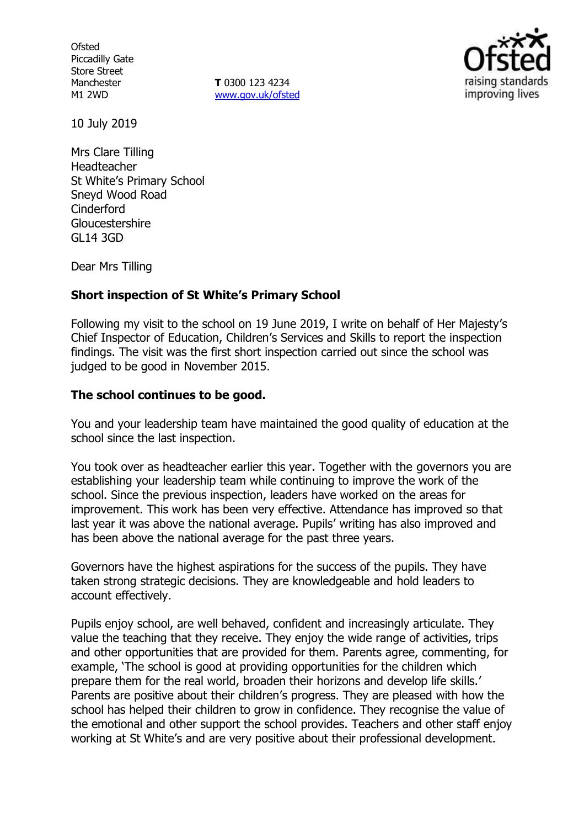**Ofsted** Piccadilly Gate Store Street Manchester M1 2WD

**T** 0300 123 4234 [www.gov.uk/ofsted](http://www.gov.uk/ofsted)



10 July 2019

Mrs Clare Tilling Headteacher St White's Primary School Sneyd Wood Road Cinderford Gloucestershire GL14 3GD

Dear Mrs Tilling

### **Short inspection of St White's Primary School**

Following my visit to the school on 19 June 2019, I write on behalf of Her Majesty's Chief Inspector of Education, Children's Services and Skills to report the inspection findings. The visit was the first short inspection carried out since the school was judged to be good in November 2015.

### **The school continues to be good.**

You and your leadership team have maintained the good quality of education at the school since the last inspection.

You took over as headteacher earlier this year. Together with the governors you are establishing your leadership team while continuing to improve the work of the school. Since the previous inspection, leaders have worked on the areas for improvement. This work has been very effective. Attendance has improved so that last year it was above the national average. Pupils' writing has also improved and has been above the national average for the past three years.

Governors have the highest aspirations for the success of the pupils. They have taken strong strategic decisions. They are knowledgeable and hold leaders to account effectively.

Pupils enjoy school, are well behaved, confident and increasingly articulate. They value the teaching that they receive. They enjoy the wide range of activities, trips and other opportunities that are provided for them. Parents agree, commenting, for example, 'The school is good at providing opportunities for the children which prepare them for the real world, broaden their horizons and develop life skills.' Parents are positive about their children's progress. They are pleased with how the school has helped their children to grow in confidence. They recognise the value of the emotional and other support the school provides. Teachers and other staff enjoy working at St White's and are very positive about their professional development.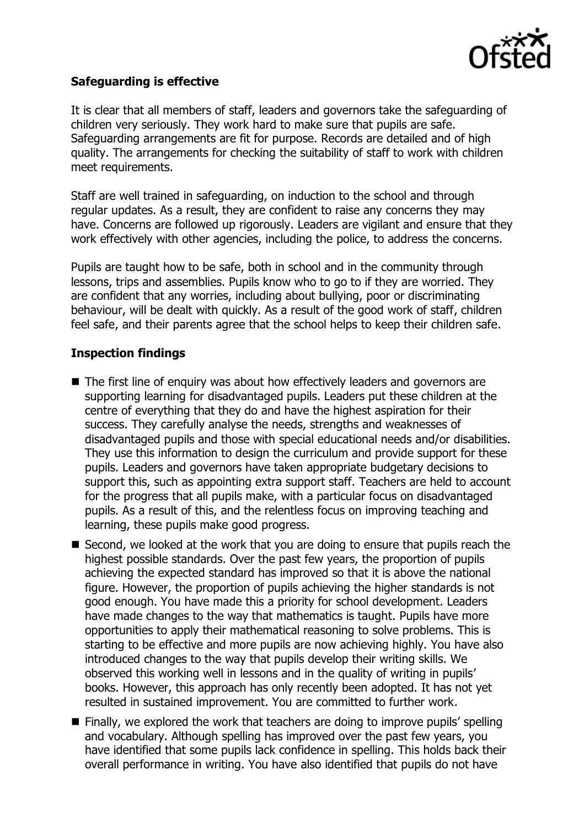

# **Safeguarding is effective**

It is clear that all members of staff, leaders and governors take the safeguarding of children very seriously. They work hard to make sure that pupils are safe. Safeguarding arrangements are fit for purpose. Records are detailed and of high quality. The arrangements for checking the suitability of staff to work with children meet requirements.

Staff are well trained in safeguarding, on induction to the school and through regular updates. As a result, they are confident to raise any concerns they may have. Concerns are followed up rigorously. Leaders are vigilant and ensure that they work effectively with other agencies, including the police, to address the concerns.

Pupils are taught how to be safe, both in school and in the community through lessons, trips and assemblies. Pupils know who to go to if they are worried. They are confident that any worries, including about bullying, poor or discriminating behaviour, will be dealt with quickly. As a result of the good work of staff, children feel safe, and their parents agree that the school helps to keep their children safe.

### **Inspection findings**

- The first line of enquiry was about how effectively leaders and governors are supporting learning for disadvantaged pupils. Leaders put these children at the centre of everything that they do and have the highest aspiration for their success. They carefully analyse the needs, strengths and weaknesses of disadvantaged pupils and those with special educational needs and/or disabilities. They use this information to design the curriculum and provide support for these pupils. Leaders and governors have taken appropriate budgetary decisions to support this, such as appointing extra support staff. Teachers are held to account for the progress that all pupils make, with a particular focus on disadvantaged pupils. As a result of this, and the relentless focus on improving teaching and learning, these pupils make good progress.
- Second, we looked at the work that you are doing to ensure that pupils reach the highest possible standards. Over the past few years, the proportion of pupils achieving the expected standard has improved so that it is above the national figure. However, the proportion of pupils achieving the higher standards is not good enough. You have made this a priority for school development. Leaders have made changes to the way that mathematics is taught. Pupils have more opportunities to apply their mathematical reasoning to solve problems. This is starting to be effective and more pupils are now achieving highly. You have also introduced changes to the way that pupils develop their writing skills. We observed this working well in lessons and in the quality of writing in pupils' books. However, this approach has only recently been adopted. It has not yet resulted in sustained improvement. You are committed to further work.
- Finally, we explored the work that teachers are doing to improve pupils' spelling and vocabulary. Although spelling has improved over the past few years, you have identified that some pupils lack confidence in spelling. This holds back their overall performance in writing. You have also identified that pupils do not have